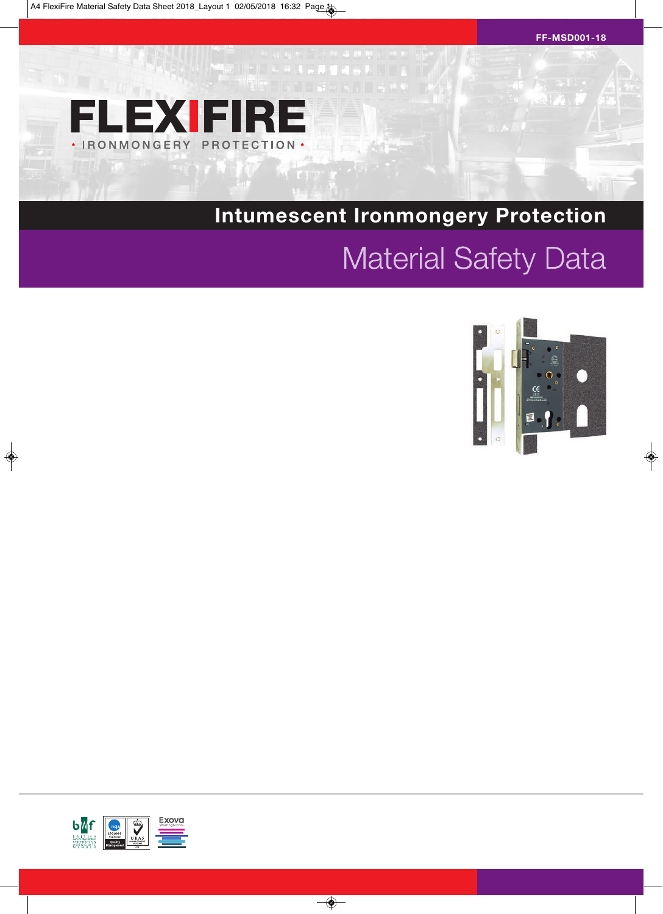

# **Intumescent Ironmongery Protection**

# **Material Safety Data**